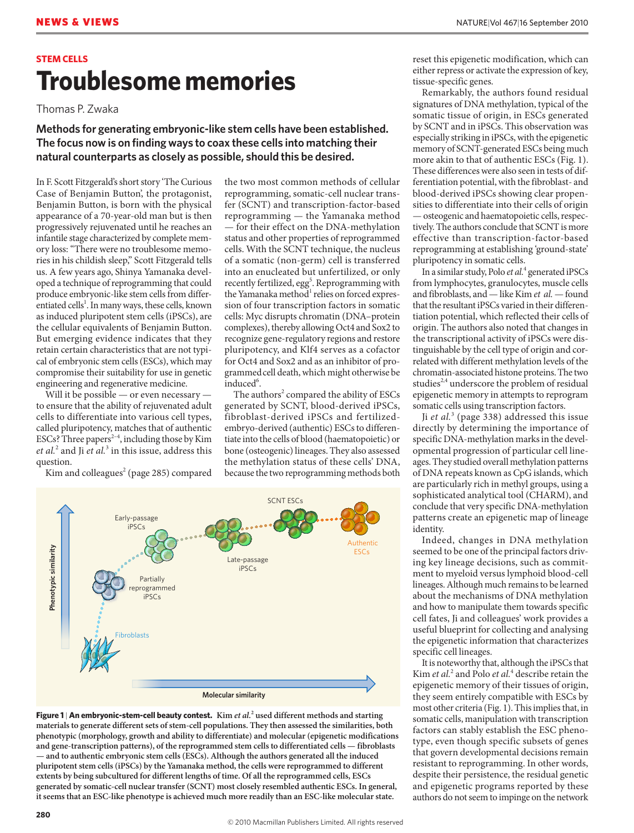## **STEM CELLS Troublesome memories**

Thomas P. Zwaka

**Methods for generating embryonic-like stem cells have been established. The focus now is on finding ways to coax these cells into matching their natural counterparts as closely as possible, should this be desired.**

In F. Scott Fitzgerald's short story 'The Curious Case of Benjamin Button', the protagonist, Benjamin Button, is born with the physical appearance of a 70-year-old man but is then progressively rejuvenated until he reaches an infantile stage characterized by complete memory loss: "There were no troublesome memories in his childish sleep," Scott Fitzgerald tells us. A few years ago, Shinya Yamanaka developed a technique of reprogramming that could produce embryonic-like stem cells from differentiated cells<sup>1</sup>. In many ways, these cells, known as induced pluripotent stem cells (iPSCs), are the cellular equivalents of Benjamin Button. But emerging evidence indicates that they retain certain characteristics that are not typical of embryonic stem cells (ESCs), which may compromise their suitability for use in genetic engineering and regenerative medicine.

Will it be possible — or even necessary to ensure that the ability of rejuvenated adult cells to differentiate into various cell types, called pluripotency, matches that of authentic ESCs? Three papers<sup>2-4</sup>, including those by Kim *et al.*<sup>2</sup> and Ji *et al.*<sup>3</sup> in this issue, address this question.

Kim and colleagues<sup>2</sup> (page 285) compared

the two most common methods of cellular reprogramming, somatic-cell nuclear transfer (SCNT) and transcription-factor-based reprogramming — the Yamanaka method — for their effect on the DNA-methylation status and other properties of reprogrammed cells. With the SCNT technique, the nucleus of a somatic (non-germ) cell is transferred into an enucleated but unfertilized, or only recently fertilized, egg<sup>5</sup>. Reprogramming with the Yamanaka method<sup>1</sup> relies on forced expression of four transcription factors in somatic cells: Myc disrupts chromatin (DNA–protein complexes), thereby allowing Oct4 and Sox2 to recognize gene-regulatory regions and restore pluripotency, and Klf4 serves as a cofactor for Oct4 and Sox2 and as an inhibitor of programmedcell death, which might otherwise be induced<sup>6</sup>.

The authors<sup>2</sup> compared the ability of ESCs generated by SCNT, blood-derived iPSCs, fibroblast-derived iPSCs and fertilizedembryo-derived (authentic) ESCs to differentiate into the cells of blood (haematopoietic) or bone (osteogenic) lineages. They also assessed the methylation status of these cells' DNA, because the two reprogramming methods both



**Figure 1 | An embryonic-stem-cell beauty contest.** Kim *et al.*<sup>2</sup> used different methods and starting **materials to generate different sets of stem-cell populations. They then assessed the similarities, both phenotypic (morphology, growth and ability to differentiate) and molecular (epigenetic modifications and gene-transcription patterns), of the reprogrammed stem cells to differentiated cells — fibroblasts — and to authentic embryonic stem cells (ESCs). Although the authors generated all the induced pluripotent stem cells (iPSCs) by the Yamanaka method, the cells were reprogrammed to different extents by being subcultured for different lengths of time. Of all the reprogrammed cells, ESCs generated by somatic-cell nuclear transfer (SCNT) most closely resembled authentic ESCs. In general, it seems that an ESC-like phenotype is achieved much more readily than an ESC-like molecular state.** 

reset this epigenetic modification, which can either repress or activate the expression of key, tissue-specific genes.

Remarkably, the authors found residual signatures of DNA methylation, typical of the somatic tissue of origin, in ESCs generated by SCNT and in iPSCs. This observation was especially striking in iPSCs, with the epigenetic memory of SCNT-generated ESCs being much more akin to that of authentic ESCs (Fig. 1). These differences were also seen in tests of differentiation potential, with the fibroblast- and blood-derived iPSCs showing clear propensities to differentiate into their cells of origin — osteogenic and haematopoietic cells, respectively. The authors conclude that SCNT is more effective than transcription-factor-based reprogramming at establishing 'ground-state' pluripotency in somatic cells.

In a similar study, Polo *et al.*<sup>4</sup> generated iPSCs from lymphocytes, granulocytes, muscle cells and fibroblasts, and — like Kim *et al.* — found that the resultant iPSCs varied in their differentiation potential, which reflected their cells of origin. The authors also noted that changes in the transcriptional activity of iPSCs were distinguishable by the cell type of origin and correlated with different methylation levels of the chromatin-associated histone proteins. The two studies<sup>2,4</sup> underscore the problem of residual epigenetic memory in attempts to reprogram somatic cells using transcription factors.

Ji *et al.*<sup>3</sup> (page 338) addressed this issue directly by determining the importance of specific DNA-methylation marks in the developmental progression of particular cell lineages. They studied overall methylation patterns of DNA repeats known as CpG islands, which are particularly rich in methyl groups, using a sophisticated analytical tool (CHARM), and conclude that very specific DNA-methylation patterns create an epigenetic map of lineage identity.

Indeed, changes in DNA methylation seemed to be one of the principal factors driving key lineage decisions, such as commitment to myeloid versus lymphoid blood-cell lineages. Although much remains to be learned about the mechanisms of DNA methylation and how to manipulate them towards specific cell fates, Ji and colleagues' work provides a useful blueprint for collecting and analysing the epigenetic information that characterizes specific cell lineages.

It is noteworthy that, although the iPSCs that Kim *et al.*<sup>2</sup> and Polo *et al.*<sup>4</sup> describe retain the epigenetic memory of their tissues of origin, they seem entirely compatible with ESCs by most other criteria (Fig. 1). This implies that, in somatic cells, manipulation with transcription factors can stably establish the ESC phenotype, even though specific subsets of genes that govern developmental decisions remain resistant to reprogramming. In other words, despite their persistence, the residual genetic and epigenetic programs reported by these authors do not seem to impinge on the network